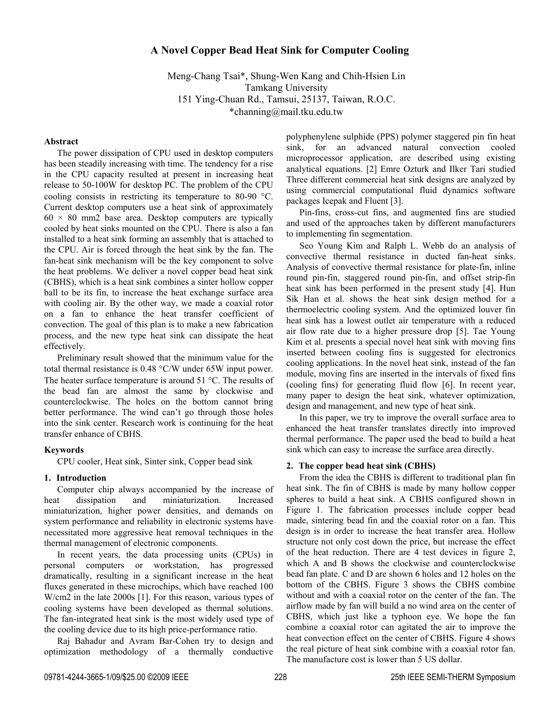# **A Novel Copper Bead Heat Sink for Computer Cooling**

Meng-Chang Tsai\*, Shung-Wen Kang and Chih-Hsien Lin Tamkang University 151 Ying-Chuan Rd., Tamsui, 25137, Taiwan, R.O.C. \*channing@mail.tku.edu.tw

## **Abstract**

The power dissipation of CPU used in desktop computers has been steadily increasing with time. The tendency for a rise in the CPU capacity resulted at present in increasing heat release to 50-100W for desktop PC. The problem of the CPU cooling consists in restricting its temperature to 80-90 °C. Current desktop computers use a heat sink of approximately  $60 \times 80$  mm2 base area. Desktop computers are typically cooled by heat sinks mounted on the CPU. There is also a fan installed to a heat sink forming an assembly that is attached to the CPU. Air is forced through the heat sink by the fan. The fan-heat sink mechanism will be the key component to solve the heat problems. We deliver a novel copper bead heat sink (CBHS), which is a heat sink combines a sinter hollow copper ball to be its fin, to increase the heat exchange surface area with cooling air. By the other way, we made a coaxial rotor on a fan to enhance the heat transfer coefficient of convection. The goal of this plan is to make a new fabrication process, and the new type heat sink can dissipate the heat effectively.

Preliminary result showed that the minimum value for the total thermal resistance is  $0.48 \text{ °C/W}$  under 65W input power. The heater surface temperature is around  $51 \degree C$ . The results of the bead fan are almost the same by clockwise and counterclockwise. The holes on the bottom cannot bring better performance. The wind can't go through those holes into the sink center. Research work is continuing for the heat transfer enhance of CBHS.

### **Keywords**

CPU cooler, Heat sink, Sinter sink, Copper bead sink

## **1. Introduction**

Computer chip always accompanied by the increase of heat dissipation and miniaturization. Increased miniaturization, higher power densities, and demands on system performance and reliability in electronic systems have necessitated more aggressive heat removal techniques in the thermal management of electronic components.

In recent years, the data processing units (CPUs) in personal computers or workstation, has progressed dramatically, resulting in a significant increase in the heat fluxes generated in these microchips, which have reached 100 W/cm2 in the late 2000s [1]. For this reason, various types of cooling systems have been developed as thermal solutions. The fan-integrated heat sink is the most widely used type of the cooling device due to its high price-performance ratio.

Raj Bahadur and Avram Bar-Cohen try to design and optimization methodology of a thermally conductive polyphenylene sulphide (PPS) polymer staggered pin fin heat sink, for an advanced natural convection cooled microprocessor application, are described using existing analytical equations. [2] Emre Ozturk and Ilker Tari studied Three different commercial heat sink designs are analyzed by using commercial computational fluid dynamics software packages Icepak and Fluent [3].

Pin-fins, cross-cut fins, and augmented fins are studied and used of the approaches taken by different manufacturers to implementing fin segmentation.

Seo Young Kim and Ralph L. Webb do an analysis of convective thermal resistance in ducted fan-heat sinks. Analysis of convective thermal resistance for plate-fin, inline round pin-fin, staggered round pin-fin, and offset strip-fin heat sink has been performed in the present study [4]. Hun Sik Han et al. shows the heat sink design method for a thermoelectric cooling system. And the optimized louver fin heat sink has a lowest outlet air temperature with a reduced air flow rate due to a higher pressure drop [5]. Tae Young Kim et al. presents a special novel heat sink with moving fins inserted between cooling fins is suggested for electronics cooling applications. In the novel heat sink, instead of the fan module, moving fins are inserted in the intervals of fixed fins (cooling fins) for generating fluid flow [6]. In recent year, many paper to design the heat sink, whatever optimization, design and management, and new type of heat sink.

In this paper, we try to improve the overall surface area to enhanced the heat transfer translates directly into improved thermal performance. The paper used the bead to build a heat sink which can easy to increase the surface area directly.

### **2. The copper bead heat sink (CBHS)**

From the idea the CBHS is different to traditional plan fin heat sink. The fin of CBHS is made by many hollow copper spheres to build a heat sink. A CBHS configured shown in Figure 1. The fabrication processes include copper bead made, sintering bead fin and the coaxial rotor on a fan. This design is in order to increase the heat transfer area. Hollow structure not only cost down the price, but increase the effect of the heat reduction. There are 4 test devices in figure 2, which A and B shows the clockwise and counterclockwise bead fan plate. C and D are shown 6 holes and 12 holes on the bottom of the CBHS. Figure 3 shows the CBHS combine without and with a coaxial rotor on the center of the fan. The airflow made by fan will build a no wind area on the center of CBHS, which just like a typhoon eye. We hope the fan combine a coaxial rotor can agitated the air to improve the heat convection effect on the center of CBHS. Figure 4 shows the real picture of heat sink combine with a coaxial rotor fan. The manufacture cost is lower than 5 US dollar.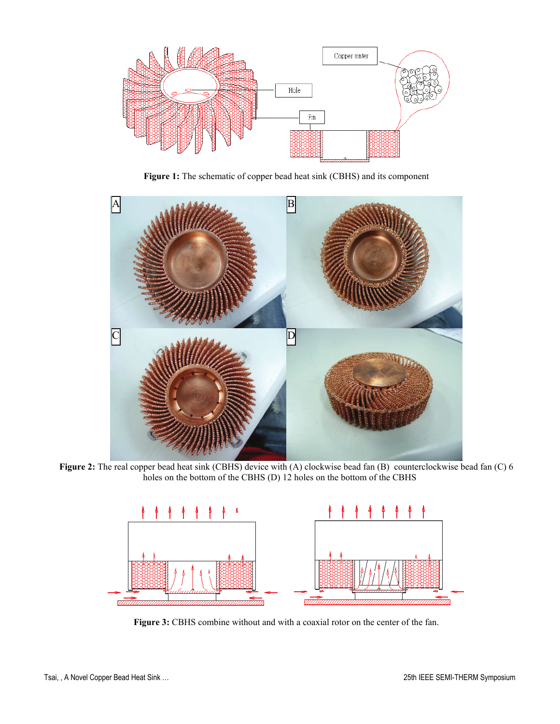

**Figure 1:** The schematic of copper bead heat sink (CBHS) and its component



**Figure 2:** The real copper bead heat sink (CBHS) device with (A) clockwise bead fan (B) counterclockwise bead fan (C) 6 holes on the bottom of the CBHS (D) 12 holes on the bottom of the CBHS



**Figure 3:** CBHS combine without and with a coaxial rotor on the center of the fan.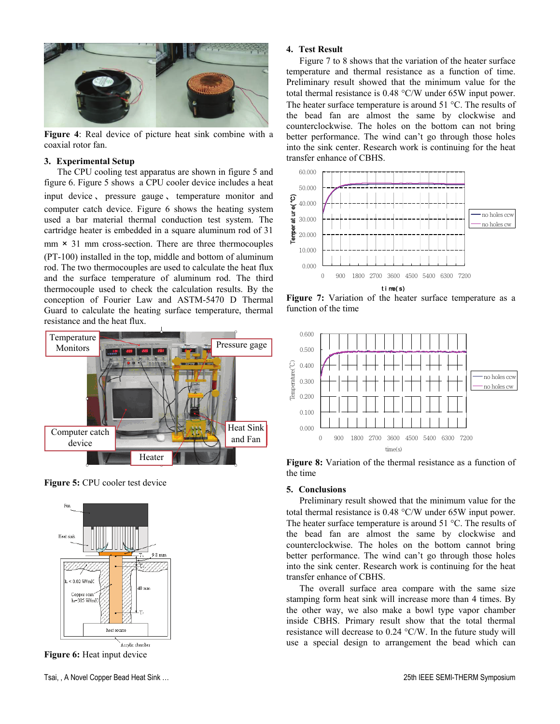

**Figure 4**: Real device of picture heat sink combine with a coaxial rotor fan.

## **3. Experimental Setup**

The CPU cooling test apparatus are shown in figure 5 and figure 6. Figure 5 shows a CPU cooler device includes a heat input device 、 pressure gauge 、 temperature monitor and computer catch device. Figure 6 shows the heating system used a bar material thermal conduction test system. The cartridge heater is embedded in a square aluminum rod of 31 mm  $\times$  31 mm cross-section. There are three thermocouples (PT-100) installed in the top, middle and bottom of aluminum rod. The two thermocouples are used to calculate the heat flux and the surface temperature of aluminum rod. The third thermocouple used to check the calculation results. By the conception of Fourier Law and ASTM-5470 D Thermal Guard to calculate the heating surface temperature, thermal resistance and the heat flux.



**Figure 5:** CPU cooler test device



**Figure 6:** Heat input device

### **4. Test Result**

Figure 7 to 8 shows that the variation of the heater surface temperature and thermal resistance as a function of time. Preliminary result showed that the minimum value for the total thermal resistance is  $0.48 \text{ °C/W}$  under 65W input power. The heater surface temperature is around 51  $^{\circ}$ C. The results of the bead fan are almost the same by clockwise and counterclockwise. The holes on the bottom can not bring better performance. The wind can't go through those holes into the sink center. Research work is continuing for the heat transfer enhance of CBHS.



**Figure 7:** Variation of the heater surface temperature as a function of the time



**Figure 8:** Variation of the thermal resistance as a function of the time

### **5. Conclusions**

Preliminary result showed that the minimum value for the total thermal resistance is  $0.48 \text{ °C/W}$  under 65W input power. The heater surface temperature is around  $51 \degree C$ . The results of the bead fan are almost the same by clockwise and counterclockwise. The holes on the bottom cannot bring better performance. The wind can't go through those holes into the sink center. Research work is continuing for the heat transfer enhance of CBHS.

The overall surface area compare with the same size stamping form heat sink will increase more than 4 times. By the other way, we also make a bowl type vapor chamber inside CBHS. Primary result show that the total thermal resistance will decrease to  $0.24 \text{ °C/W}$ . In the future study will use a special design to arrangement the bead which can